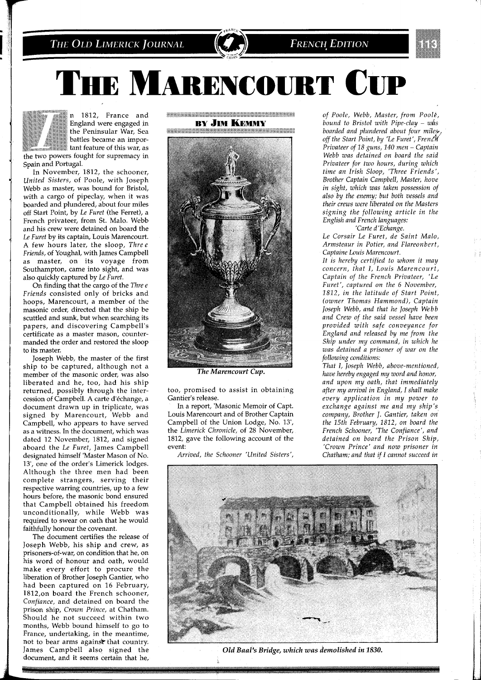THE OLD LIMERICK JOURNAL

**THE MARENCOURT CUP** 



*\*m-\*,&* ;\* n 1812, France and England were engaged in the Peninsular War, Sea battles became an impor- $\blacksquare$  tant feature of this war, as

the two powers fought for supremacy in Spain and Portugal.

In November, 1812, the schooner, *United Sisters, of Poole, with Joseph* Webb as master, was bound for Bristol, with a cargo of pipeclay, when it was boarded and plundered, about four miles off Start Point, by *Le Furet* (the Ferret), a French privateer, from St. Malo. Webb and his crew were detained on board the *Le Furet* by its captain, Louis Marencourt. A few hours later, the sloop, *Three Friends, of Youghal, with James Campbell* as master, on its voyage from Southampton, came into sight, and was also quickly captured by *Le Furet.* 

On finding that the cargo of the *Thre e Friends* consisted only of bricks and hoops, Marencourt, a member of the masonic order, directed that the ship be scuttled and sunk, but when searching its papers, and discovering Campbell's certificate as a master mason, countermanded the order and restored the sloop to its master.

Joseph Webb, the master of the first ship to be captured, although not a member of the masonic order, was also liberated and he, too, had his ship returned, possibly through the intercession of Campbell. A carte d'echange, a document drawn up in triplicate, was signed by Marencourt, Webb and Campbell, who appears to have served as a witness. In the document, which was dated 12 November, 1812, and signed aboard the *Le Furet,* James Campbell designated himself 'Master Mason of No. 13', one of the order's Limerick lodges. Although the three men had been complete strangers, serving their respective warring countries, up to a few hours before, the masonic bond ensured that Campbell obtained his freedom unconditionally, while Webb was required to swear on oath that he would faithfully honour the covenant.

The document certifies the release of Joseph Webb, his ship and crew, as prisoners-of-war, on condition that he, on his word of honour and oath, would make every effort to procure the liberation of Brother Joseph Gantier, who had been captured on 16 February, 1812,on board the French schooner, *Confiance,* and detained on board the prison ship, *Crown Prince,* at Chatham. Should he not succeed within two months, Webb bound himself to go to France, undertaking, in the meantime, not to bear arms against that country. James Campbell also signed the document, and it seems certain that he,

*Executive a 2 concentrate a care a concentrate a series* **BY JIM KEMMY** 



*The Marencourt Cup.* 

too, promised to assist in obtaining Gantier's release.

In a report, 'Masonic Memoir of Capt. Louis Marencourt and of Brother Captain Campbell of the Union Lodge, No. 13', the *Limerick Chronicle,* of 28 November, 1812, gave the following account of the event:

*Arrived, the Schooner 'United Sisters',* 

*of Poole, Webb, Master, from Pool&, bound to Bristol with Pipe-clay* - *whs boarded and plundered about four mile?,, off the Start Point, by 'Le Furet', FrenEK Privateer of 18 guns, 140 men - Captain Webb was detained on board the said Privateer for two hours, during which time an Irish Sloop, 'Three Friends', Brother Captain Campbell, Master, hove in sight, which was taken possession of also by the enemy; but both vessels and their crews were liberated on the Masters signing the following article in the English and French languages:* 

**FRENCH EDITION** 

*'Carte d 'Echange.* 

*Le Corsair Le Furet, de Saint Malo, Armsteaur in Potier, and Flareonbert, Captaine Louis Marencourt.* 

*It is hereby certified to whom it may concern, that I, Louis Marencourt, Captain of the French Privateer, 'Le Furet', captured on the 6 November, 1812, in the latitude of Start Point, (owner Thomas Hammond), Captain Joseph Webb, and that he Joseph Webb and Crew of the said vessel have been provided with safe conveyance for England and released by me from the Ship under my command, in which he was detained a prisoner of war on the following conditions:* 

*That I, Joseph Webb, above-mentioned, have hereby engaged my word and honor, and upon my oath, that immediately after my arrival in England, I shall make every application in my power to exchange against me and my ship's company, Brother J. Gantier, taken on the 15th February, 1812, on board the French Schooner, 'The Confiance', and detained on board the Prison Ship, 'Crown Prince' and now prisoner in Chatham; and that if I cannot succeed in* 



*Old Baal's Bridge, which was demolished in 1830.*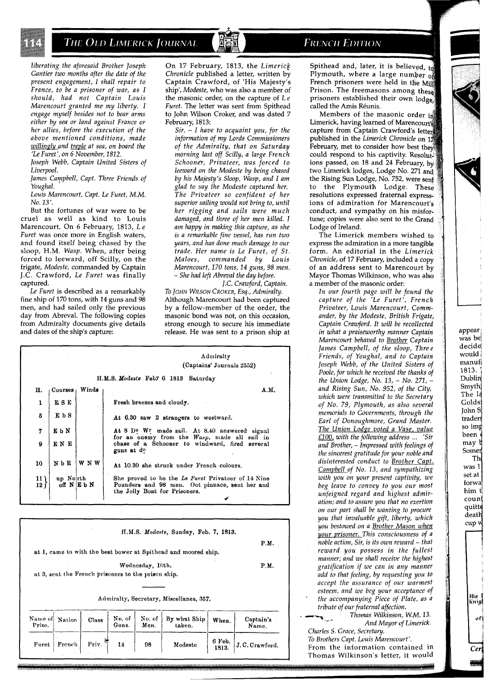## THE OLD LIMERICK JOURNAL

*liberating the aforesaid Brother Joseph Gantier two months after the date of the present engagement, I shall repair to France, to be a prisoner of war, as I should, had not Captain Louis Marencourt granted me my liberty. I engage myself besides not to bear arms either by sea or land against France or her allies, before the execution of the above mentioned conditions, made willingly and tveple at sea, on board the 'Le Furet* ', *on 6 November, 1812.* 

*Joseph Webb, Captain United Sisters of Liverpool.* 

*James Campbell, Capt. Three Friends of Youghal.* '

*Louis Marencourt, Capt. Le Furet, M.M. No. l3* '.

But the fortunes of war were to be cruel as well as kind to Louis Marencourt. On 6 February, **1813,** *Le Furet* was once more in English waters, and found itself being chased by the sloop, H.M. *Wasp.* When, after being forced to leeward, off Scilly, on the frigate, *Modeste,* commanded by Captain J.C. Crawford, *Le Furet* was finally captured.

*Le Furet* is described as a remarkably fine ship of **170** tons, with **14** guns and **98**  men, and had sailed only the previous day from Abreval. The following copies from Admiralty documents give details and dates of the ship's capture:

On **17** February, **1813,** the *Limerick Chronicle* published a letter, written by Captain Crawford, of 'His Majesty's ship', *Modeste,* who was also a member of the masonic order, on the capture of *Le Furet.* The letter was sent from Spithead to John Wilson Croker, and was dated **7**  February, **1813:** 

*Sir,* - *I have to acquaint you, for the information of my Lords Commissioners of the Admiralty, that on Saturday morning last off Scilly, a large French Schooner, Privateer, was forced to leeward on the Modeste by being chased by his Majesty 'S Sloop, Wasp, and I am glad to say the Modeste captured her. The Privateer so confident of her superior sailing would not bring to, until her rigging and sails were much damaged, and three of her men killed. I am happy in making this capture, as she is a remarkable fine vessel, has run two years, and has done much damage to our trade. Her name is Le Furet, of St. Maloes, commanded by Louis Marencourt, 170 tons, 14 guns, 98 men.*  - *She had left Abreval the day before.* 

*J.C. Crawford, Captain. To JOHN WILSON CROKER, Esq., Admiralty.*  Although Marencourt had been captured by a fellow-member of the order, the masonic bond was not, on this occasion, strong enough to secure his immediate release. He was sent to a prison ship at

|                                     |                         |             |                        | Admiralty<br>(Captains' Journals 2552)                                                                                                          |  |  |  |  |  |  |  |
|-------------------------------------|-------------------------|-------------|------------------------|-------------------------------------------------------------------------------------------------------------------------------------------------|--|--|--|--|--|--|--|
| H.M.S. Modeste Feby 6 1813 Saturday |                         |             |                        |                                                                                                                                                 |  |  |  |  |  |  |  |
|                                     | н.                      | Courses     | Winds                  | A.M.                                                                                                                                            |  |  |  |  |  |  |  |
|                                     | 1                       | ESE.        |                        | Fresh breezes and cloudy.                                                                                                                       |  |  |  |  |  |  |  |
|                                     | 5                       | EbS         |                        | At 6.30 saw 2 strangers to westward.                                                                                                            |  |  |  |  |  |  |  |
|                                     | 7<br>9                  | EЬN<br>EN E |                        | At 8 Do Wr made sail. At 8.40 answered signal<br>for an enemy from the Wasp, made all sail in<br>chase of a Schooner to windward, fired several |  |  |  |  |  |  |  |
|                                     |                         | NbE         | <b>WNW</b>             | guns at do                                                                                                                                      |  |  |  |  |  |  |  |
|                                     | 10                      |             |                        | At 10.30 she struck under French colours.                                                                                                       |  |  |  |  |  |  |  |
|                                     | 11 1<br>12 <sub>1</sub> | up North    | off $N \nvert E$ b $N$ | She proved to be the Le Furet Privateer of 14 Nine<br>Pounders and 98 men. Out pinnace, sent her and<br>the Jolly Boat for Prisoners.           |  |  |  |  |  |  |  |
|                                     |                         |             |                        |                                                                                                                                                 |  |  |  |  |  |  |  |

| H.M.S. Modeste, Sunday, Feb. 7, 1813.                          |      |
|----------------------------------------------------------------|------|
| at 1, came to with the best bower at Spithead and moored ship. | Р.М. |
| Wednesday, 10th.                                               | P.M. |
| at 3, sent the French prisoners to the prison ship.            |      |
|                                                                |      |

#### Admiralty, Secretary, Miscellanea, 357.

| Prize. | Name of Nation | Class                 | No. of<br>Guns. | Men. | No. of   By what Ship  <br>taken. | When. | Captain's<br>Name.                                             |
|--------|----------------|-----------------------|-----------------|------|-----------------------------------|-------|----------------------------------------------------------------|
| Furet  | French         | Priv. $\sqrt[3]{114}$ |                 | 98   | Modeste                           |       | $\begin{array}{c c} 6 \text{ Feb.} \end{array}$ J.C. Crawford. |

# **FRENCH EDITION**

Spithead and, later, it is believed, to Plymouth, where a large number of French prisoners were held in the Mill Prison. The freemasons among these prisoners established their own lodge, called the Amis Réunis.

Members of the masonic order in Limerick, having learned of Marencourt's capture from Captain Crawford's letter published in the *Limerick Chronicle* o February, met to consider how best they could respond to his captivity. Resolutions passed, on **18** and two Limerick lodges, Lodge No. 271 and the Rising Sun Lodge, No. 752, were senf to the Plymouth Lodge. These resolutions expressed fraternal expressions of admiration for Marencourt's conduct, and sympathy on his misfortune; copies were also sent to the Grand Lodge of Ireland.

The Limerick members wished to express the admiration in a more tangible form. An editorial in the *Limerick Chronicle,* of **17** February, included a copy of an address sent to Marencourt by Mayor Thomas Wilkinson, who was also a member of the masonic order:

*In our fourth page will be found the capture of the 'Le Furet', French Privateer, Louis Marencourt, Commander, by the Modeste, British Frigate, Captain Crawford. It will be recollected in what a praiseworthy manner Captain Marencourt behaved to Brother Captain lames Campbell, of the sloop, Three Friends, of Youghal, and to Captain Joseph Webb, of the United Sisters of Poole, for which he received the thanks of the Union Lodge, WO. 13,* - *No. 271, and Rising Sun, No. 952, of the City, which were transmitted to the Secretary of No. 79, Plymouth, as also several memorials to dovernments, through the Earl of Donoughmore, Grand Master. The Union Lodae voted a Vase, value with the following address* ... *'Sir and Brother,* - *Impressed with feelings of the sincerest gratitude for your noble and*  disinterested conduct to **Brother Capt**. *Campbell of No. 13, and sympathizing with you on your present captivity, we beg leave to convey to you our most unfeigned regard and highest admiration; and to assure you that no exertion on our part shall be wanting to procure you that invaluable gift, liberty, which you bestowed on a Brother Mason when your prisoner. This consciousness of a noble action, Sir, is its own reward - that reward you possess in the fullest manner; and we shall receive the highest gratification if we can in any manner add to that feeling, by requesting you to accept the assurance of our warmest esteem, and we beg your acceptance of the accompanying Piece of Plate, as a trainfration if* we can in any<br>add to that feeling, by requestin,<br>accept the assurance of our in<br>esteem, and we beg your accept<br>the accompanying Piece of Pla<br>tribute of our fraternal affection.<br>Thomas Wilkinson, V<br>And May

*Thomas Wilkinson, W.M.* **23.**  *And Mayor of Limerick.* 

*Charles S. Grace, Secretary. To Brothers Capt. Louis Marencourt'.*  From the information contained in Thomas Wilkinson's letter, it would quitte death cup v

His 1<br>|Knig|

L